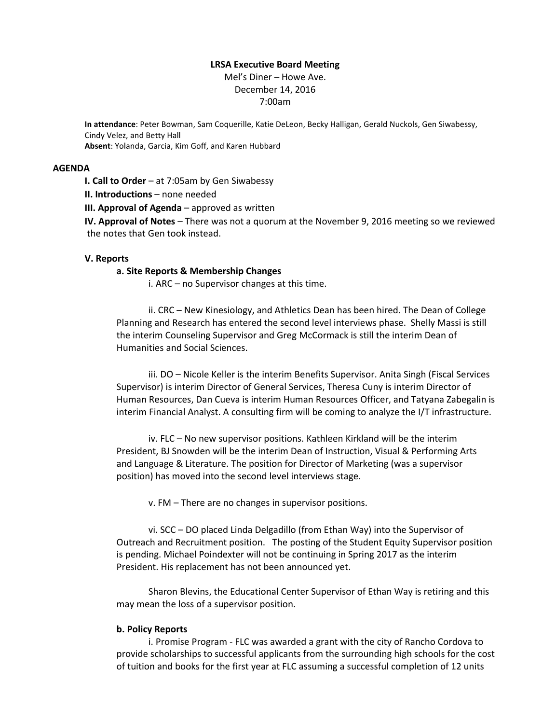## **LRSA Executive Board Meeting**

Mel's Diner – Howe Ave. December 14, 2016 7:00am

**In attendance**: Peter Bowman, Sam Coquerille, Katie DeLeon, Becky Halligan, Gerald Nuckols, Gen Siwabessy, Cindy Velez, and Betty Hall **Absent**: Yolanda, Garcia, Kim Goff, and Karen Hubbard

#### **AGENDA**

**I. Call to Order** – at 7:05am by Gen Siwabessy

**II. Introductions** – none needed

**III. Approval of Agenda** – approved as written

**IV. Approval of Notes** – There was not a quorum at the November 9, 2016 meeting so we reviewed the notes that Gen took instead.

## **V. Reports**

#### **a. Site Reports & Membership Changes**

i. ARC – no Supervisor changes at this time.

ii. CRC – New Kinesiology, and Athletics Dean has been hired. The Dean of College Planning and Research has entered the second level interviews phase. Shelly Massi is still the interim Counseling Supervisor and Greg McCormack is still the interim Dean of Humanities and Social Sciences.

iii. DO – Nicole Keller is the interim Benefits Supervisor. Anita Singh (Fiscal Services Supervisor) is interim Director of General Services, Theresa Cuny is interim Director of Human Resources, Dan Cueva is interim Human Resources Officer, and Tatyana Zabegalin is interim Financial Analyst. A consulting firm will be coming to analyze the I/T infrastructure.

iv. FLC – No new supervisor positions. Kathleen Kirkland will be the interim President, BJ Snowden will be the interim Dean of Instruction, Visual & Performing Arts and Language & Literature. The position for Director of Marketing (was a supervisor position) has moved into the second level interviews stage.

v. FM – There are no changes in supervisor positions.

vi. SCC – DO placed Linda Delgadillo (from Ethan Way) into the Supervisor of Outreach and Recruitment position. The posting of the Student Equity Supervisor position is pending. Michael Poindexter will not be continuing in Spring 2017 as the interim President. His replacement has not been announced yet.

Sharon Blevins, the Educational Center Supervisor of Ethan Way is retiring and this may mean the loss of a supervisor position.

## **b. Policy Reports**

i. Promise Program - FLC was awarded a grant with the city of Rancho Cordova to provide scholarships to successful applicants from the surrounding high schools for the cost of tuition and books for the first year at FLC assuming a successful completion of 12 units